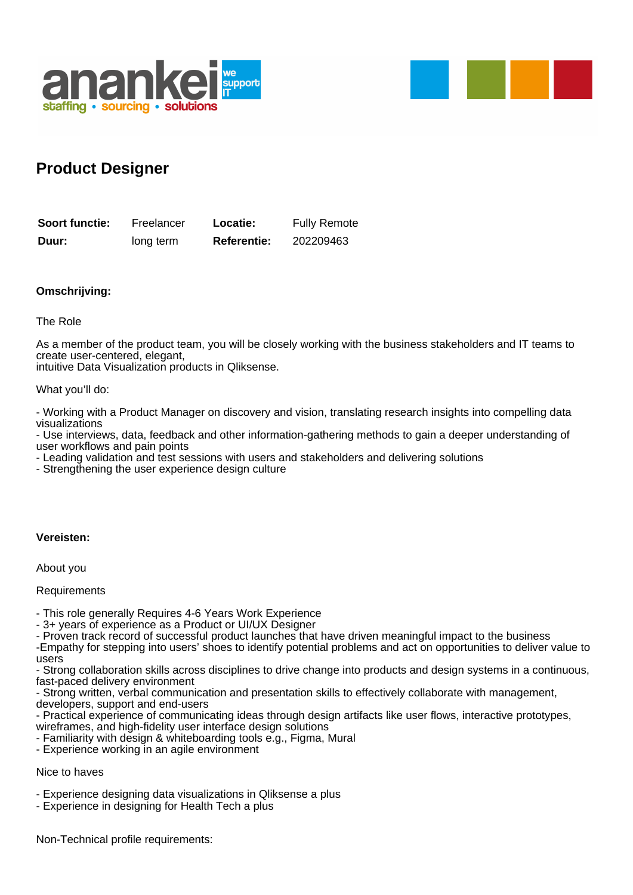



## **Product Designer**

| Soort functie: | Freelancer | Locatie:           | <b>Fully Remote</b> |
|----------------|------------|--------------------|---------------------|
| Duur:          | long term  | <b>Referentie:</b> | 202209463           |

## **Omschrijving:**

The Role

As a member of the product team, you will be closely working with the business stakeholders and IT teams to create user-centered, elegant,

intuitive Data Visualization products in Qliksense.

What you'll do:

- Working with a Product Manager on discovery and vision, translating research insights into compelling data visualizations

- Use interviews, data, feedback and other information-gathering methods to gain a deeper understanding of user workflows and pain points

- Leading validation and test sessions with users and stakeholders and delivering solutions

- Strengthening the user experience design culture

## **Vereisten:**

About you

**Requirements** 

- This role generally Requires 4-6 Years Work Experience

- 3+ years of experience as a Product or UI/UX Designer

- Proven track record of successful product launches that have driven meaningful impact to the business

-Empathy for stepping into users' shoes to identify potential problems and act on opportunities to deliver value to users

- Strong collaboration skills across disciplines to drive change into products and design systems in a continuous, fast-paced delivery environment

- Strong written, verbal communication and presentation skills to effectively collaborate with management, developers, support and end-users

- Practical experience of communicating ideas through design artifacts like user flows, interactive prototypes,

wireframes, and high-fidelity user interface design solutions

- Familiarity with design & whiteboarding tools e.g., Figma, Mural

- Experience working in an agile environment

Nice to haves

- Experience designing data visualizations in Qliksense a plus

- Experience in designing for Health Tech a plus

Non-Technical profile requirements: